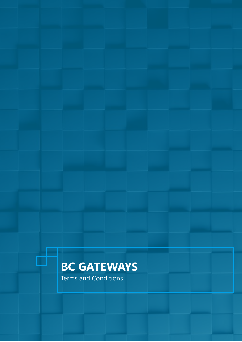# **BC GATEWAYS**

Terms and Conditions

đ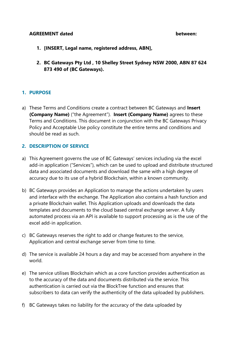#### **AGREEMENT dated between:**

- **1. [INSERT, Legal name, registered address, ABN],**
- **2. BC Gateways Pty Ltd , 10 Shelley Street Sydney NSW 2000, ABN 87 624 873 490 of (BC Gateways).**

#### **1. PURPOSE**

a) These Terms and Conditions create a contract between BC Gateways and **Insert (Company Name)** ("the Agreement"). **Insert (Company Name)** agrees to these Terms and Conditions. This document in conjunction with the BC Gateways Privacy Policy and Acceptable Use policy constitute the entire terms and conditions and should be read as such.

#### **2. DESCRIPTION OF SERVICE**

- a) This Agreement governs the use of BC Gateways' services including via the excel add-in application ("Services"), which can be used to upload and distribute structured data and associated documents and download the same with a high degree of accuracy due to its use of a hybrid Blockchain, within a known community.
- b) BC Gateways provides an Application to manage the actions undertaken by users and interface with the exchange. The Application also contains a hash function and a private Blockchain wallet. This Application uploads and downloads the data templates and documents to the cloud based central exchange server. A fully automated process via an API is available to support processing as is the use of the excel add-in application.
- c) BC Gateways reserves the right to add or change features to the service, Application and central exchange server from time to time.
- d) The service is available 24 hours a day and may be accessed from anywhere in the world.
- e) The service utilises Blockchain which as a core function provides authentication as to the accuracy of the data and documents distributed via the service. This authentication is carried out via the BlockTree function and ensures that subscribers to data can verify the authenticity of the data uploaded by publishers.
- f) BC Gateways takes no liability for the accuracy of the data uploaded by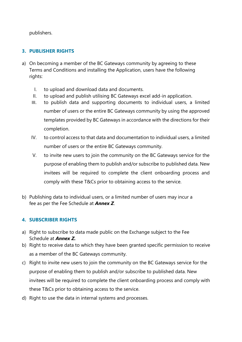publishers.

# **3. PUBLISHER RIGHTS**

- a) On becoming a member of the BC Gateways community by agreeing to these Terms and Conditions and installing the Application, users have the following rights:
	- I. to upload and download data and documents.
	- II. to upload and publish utilising BC Gateways excel add-in application.
	- III. to publish data and supporting documents to individual users, a limited number of users or the entire BC Gateways community by using the approved templates provided by BC Gateways in accordance with the directions for their completion.
	- IV. to control access to that data and documentation to individual users, a limited number of users or the entire BC Gateways community.
	- V. to invite new users to join the community on the BC Gateways service for the purpose of enabling them to publish and/or subscribe to published data. New invitees will be required to complete the client onboarding process and comply with these T&Cs prior to obtaining access to the service.
- b) Publishing data to individual users, or a limited number of users may incur a fee as per the Fee Schedule at *Annex Z*.

## **4. SUBSCRIBER RIGHTS**

- a) Right to subscribe to data made public on the Exchange subject to the Fee Schedule at *Annex Z.*
- b) Right to receive data to which they have been granted specific permission to receive as a member of the BC Gateways community.
- c) Right to invite new users to join the community on the BC Gateways service for the purpose of enabling them to publish and/or subscribe to published data. New invitees will be required to complete the client onboarding process and comply with these T&Cs prior to obtaining access to the service.
- d) Right to use the data in internal systems and processes.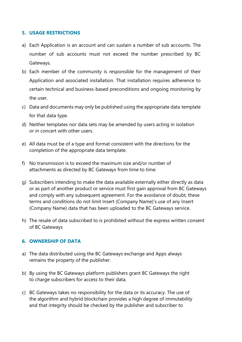#### **5. USAGE RESTRICTIONS**

- a) Each Application is an account and can sustain a number of sub accounts. The number of sub accounts must not exceed the number prescribed by BC Gateways.
- b) Each member of the community is responsible for the management of their Application and associated installation. That installation requires adherence to certain technical and business-based preconditions and ongoing monitoring by the user.
- c) Data and documents may only be published using the appropriate data template for that data type.
- d) Neither templates nor data sets may be amended by users acting in isolation or in concert with other users.
- e) All data must be of a type and format consistent with the directions for the completion of the appropriate data template.
- f) No transmission is to exceed the maximum size and/or number of attachments as directed by BC Gateways from time to time.
- g) Subscribers intending to make the data available externally either directly as data or as part of another product or service must first gain approval from BC Gateways and comply with any subsequent agreement. For the avoidance of doubt, these terms and conditions do not limit Insert (Company Name)'s use of any Insert (Company Name) data that has been uploaded to the BC Gateways service.
- h) The resale of data subscribed to is prohibited without the express written consent of BC Gateways

#### **6. OWNERSHIP OF DATA**

- a) The data distributed using the BC Gateways exchange and Apps always remains the property of the publisher.
- b) By using the BC Gateways platform publishers grant BC Gateways the right to charge subscribers for access to their data.
- c) BC Gateways takes no responsibility for the data or its accuracy. The use of the algorithm and hybrid blockchain provides a high degree of immutability and that integrity should be checked by the publisher and subscriber to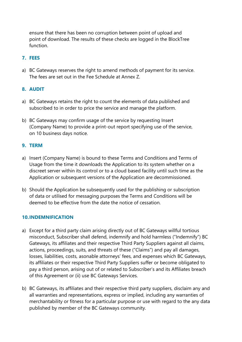ensure that there has been no corruption between point of upload and point of download. The results of these checks are logged in the BlockTree function.

## **7. FEES**

a) BC Gateways reserves the right to amend methods of payment for its service. The fees are set out in the Fee Schedule at Annex Z.

## **8. AUDIT**

- a) BC Gateways retains the right to count the elements of data published and subscribed to in order to price the service and manage the platform.
- b) BC Gateways may confirm usage of the service by requesting Insert (Company Name) to provide a print-out report specifying use of the service, on 10 business days notice.

#### **9. TERM**

- a) Insert (Company Name) is bound to these Terms and Conditions and Terms of Usage from the time it downloads the Application to its system whether on a discreet server within its control or to a cloud based facility until such time as the Application or subsequent versions of the Application are decommissioned.
- b) Should the Application be subsequently used for the publishing or subscription of data or utilised for messaging purposes the Terms and Conditions will be deemed to be effective from the date the notice of cessation.

#### **10.INDEMNIFICATION**

- a) Except for a third party claim arising directly out of BC Gateways willful tortious misconduct, Subscriber shall defend, indemnify and hold harmless ("Indemnify") BC Gateways, its affiliates and their respective Third Party Suppliers against all claims, actions, proceedings, suits, and threats of these ("Claims") and pay all damages, losses, liabilities, costs, asonable attorneys' fees, and expenses which BC Gateways, its affiliates or their respective Third Party Suppliers suffer or become obligated to pay a third person, arising out of or related to Subscriber's and its Affiliates breach of this Agreement or (ii) use BC Gateways Services.
- b) BC Gateways, its affiliates and their respective third party suppliers, disclaim any and all warranties and representations, express or implied, including any warranties of merchantability or fitness for a particular purpose or use with regard to the any data published by member of the BC Gateways community.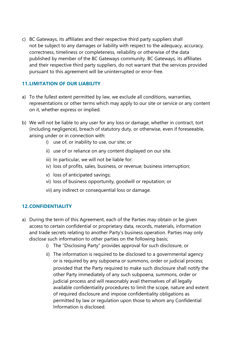c) BC Gateways, its affiliates and their respective third party suppliers shall not be subject to any damages or liability with respect to the adequacy, accuracy, correctness, timeliness or completeness, reliability or otherwise of the data published by member of the BC Gateways community. BC Gateways, its affiliates and their respective third party suppliers, do not warrant that the services provided pursuant to this agreement will be uninterrupted or error-free.

#### **11.LIMITATION OF OUR LIABILITY**

- a) To the fullest extent permitted by law, we exclude all conditions, warranties, representations or other terms which may apply to our site or service or any content on it, whether express or implied.
- b) We will not be liable to any user for any loss or damage, whether in contract, tort (including negligence), breach of statutory duty, or otherwise, even if foreseeable, arising under or in connection with:
	- i) use of, or inability to use, our site; or
	- ii) use of or reliance on any content displayed on our site.
	- iii) In particular, we will not be liable for:
	- iv) loss of profits, sales, business, or revenue; business interruption;
	- v) loss of anticipated savings;
	- vi) loss of business opportunity, goodwill or reputation; or
	- vii) any indirect or consequential loss or damage.

## **12.CONFIDENTIALITY**

- a) During the term of this Agreement, each of the Parties may obtain or be given access to certain confidential or proprietary data, records, materials, information and trade secrets relating to another Party's business operation. Parties may only disclose such information to other parties on the following basis;
	- i) The "Disclosing Party" provides approval for such disclosure, or
	- ii) The information is required to be disclosed to a governmental agency or is required by any subpoena or summons, order or judicial process; provided that the Party required to make such disclosure shall notify the other Party immediately of any such subpoena, summons, order or judicial process and will reasonably avail themselves of all legally available confidentiality procedures to limit the scope, nature and extent of required disclosure and impose confidentiality obligations as permitted by law or regulation upon those to whom any Confidential Information is disclosed.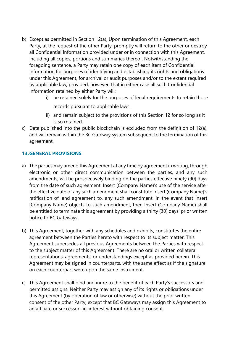- b) Except as permitted in Section 12(a), Upon termination of this Agreement, each Party, at the request of the other Party, promptly will return to the other or destroy all Confidential Information provided under or in connection with this Agreement, including all copies, portions and summaries thereof. Notwithstanding the foregoing sentence, a Party may retain one copy of each item of Confidential Information for purposes of identifying and establishing its rights and obligations under this Agreement, for archival or audit purposes and/or to the extent required by applicable law; provided, however, that in either case all such Confidential Information retained by either Party will:
	- i) be retained solely for the purposes of legal requirements to retain those records pursuant to applicable laws.
	- ii) and remain subject to the provisions of this Section 12 for so long as it is so retained.
- c) Data published into the public blockchain is excluded from the definition of 12(a), and will remain within the BC Gateway system subsequent to the termination of this agreement.

## **13.GENERAL PROVISIONS**

- a) The parties may amend this Agreement at any time by agreement in writing, through electronic or other direct communication between the parties, and any such amendments, will be prospectively binding on the parties effective ninety (90) days from the date of such agreement. Insert (Company Name)'s use of the service after the effective date of any such amendment shall constitute Insert (Company Name)'s ratification of, and agreement to, any such amendment. In the event that Insert (Company Name) objects to such amendment, then Insert (Company Name) shall be entitled to terminate this agreement by providing a thirty (30) days' prior written notice to BC Gateways.
- b) This Agreement, together with any schedules and exhibits, constitutes the entire agreement between the Parties hereto with respect to its subject matter. This Agreement supersedes all previous Agreements between the Parties with respect to the subject matter of this Agreement. There are no oral or written collateral representations, agreements, or understandings except as provided herein. This Agreement may be signed in counterparts, with the same effect as if the signature on each counterpart were upon the same instrument.
- c) This Agreement shall bind and inure to the benefit of each Party's successors and permitted assigns. Neither Party may assign any of its rights or obligations under this Agreement (by operation of law or otherwise) without the prior written consent of the other Party, except that BC Gateways may assign this Agreement to an affiliate or successor- in-interest without obtaining consent.